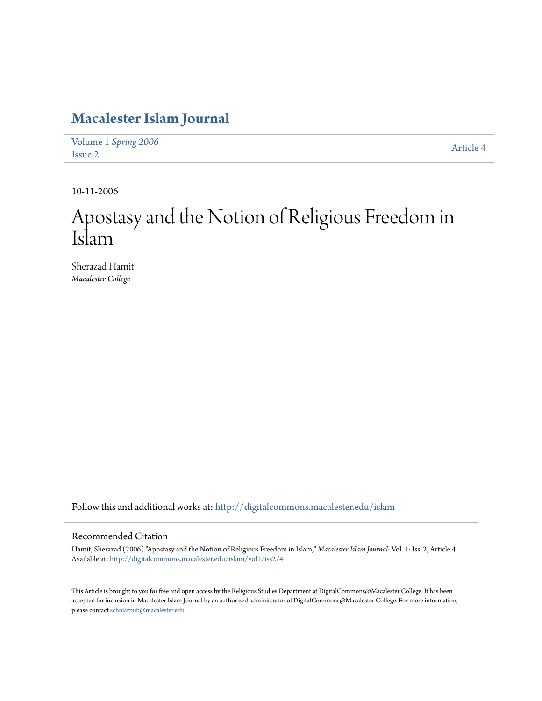## **[Macalester Islam Journal](http://digitalcommons.macalester.edu/islam?utm_source=digitalcommons.macalester.edu%2Fislam%2Fvol1%2Fiss2%2F4&utm_medium=PDF&utm_campaign=PDFCoverPages)**

Volume 1 *[Spring 2006](http://digitalcommons.macalester.edu/islam/vol1?utm_source=digitalcommons.macalester.edu%2Fislam%2Fvol1%2Fiss2%2F4&utm_medium=PDF&utm_campaign=PDFCoverPages)* Article 4<br>[Issue 2](http://digitalcommons.macalester.edu/islam/vol1/iss2?utm_source=digitalcommons.macalester.edu%2Fislam%2Fvol1%2Fiss2%2F4&utm_medium=PDF&utm_campaign=PDFCoverPages)

10-11-2006

## Apostasy and the Notion of Religious Freedom in Islam

Sherazad Hamit *Macalester College*

Follow this and additional works at: [http://digitalcommons.macalester.edu/islam](http://digitalcommons.macalester.edu/islam?utm_source=digitalcommons.macalester.edu%2Fislam%2Fvol1%2Fiss2%2F4&utm_medium=PDF&utm_campaign=PDFCoverPages)

## Recommended Citation

Hamit, Sherazad (2006) "Apostasy and the Notion of Religious Freedom in Islam," *Macalester Islam Journal*: Vol. 1: Iss. 2, Article 4. Available at: [http://digitalcommons.macalester.edu/islam/vol1/iss2/4](http://digitalcommons.macalester.edu/islam/vol1/iss2/4?utm_source=digitalcommons.macalester.edu%2Fislam%2Fvol1%2Fiss2%2F4&utm_medium=PDF&utm_campaign=PDFCoverPages)

This Article is brought to you for free and open access by the Religious Studies Department at DigitalCommons@Macalester College. It has been accepted for inclusion in Macalester Islam Journal by an authorized administrator of DigitalCommons@Macalester College. For more information, please contact [scholarpub@macalester.edu.](mailto:scholarpub@macalester.edu)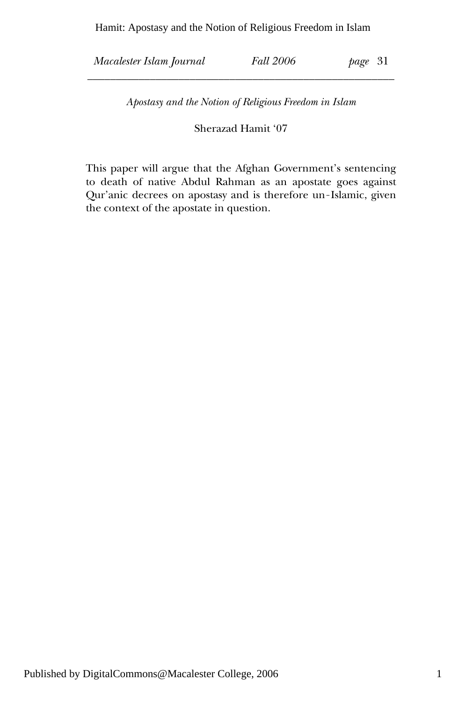Hamit: Apostasy and the Notion of Religious Freedom in Islam

*Macalester Islam Journal Fall 2006 page* 31

*Apostasy and the Notion of Religious Freedom in Islam* 

\_\_\_\_\_\_\_\_\_\_\_\_\_\_\_\_\_\_\_\_\_\_\_\_\_\_\_\_\_\_\_\_\_\_\_\_\_\_\_\_\_\_\_\_\_\_\_\_\_\_\_\_\_\_

Sherazad Hamit '07

This paper will argue that the Afghan Government's sentencing to death of native Abdul Rahman as an apostate goes against Qur'anic decrees on apostasy and is therefore un-Islamic, given the context of the apostate in question.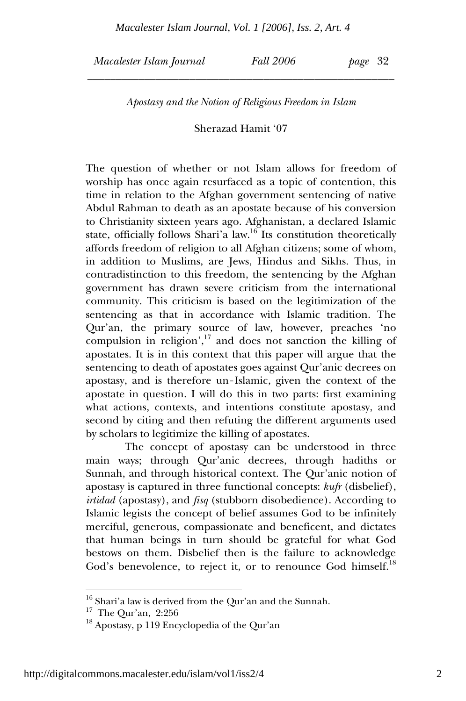*Macalester Islam Journal Fall 2006 page* 32

*Apostasy and the Notion of Religious Freedom in Islam* 

\_\_\_\_\_\_\_\_\_\_\_\_\_\_\_\_\_\_\_\_\_\_\_\_\_\_\_\_\_\_\_\_\_\_\_\_\_\_\_\_\_\_\_\_\_\_\_\_\_\_\_\_\_\_

Sherazad Hamit '07

The question of whether or not Islam allows for freedom of worship has once again resurfaced as a topic of contention, this time in relation to the Afghan government sentencing of native Abdul Rahman to death as an apostate because of his conversion to Christianity sixteen years ago. Afghanistan, a declared Islamic state, officially follows Shari'a law.<sup>16</sup> Its constitution theoretically affords freedom of religion to all Afghan citizens; some of whom, in addition to Muslims, are Jews, Hindus and Sikhs. Thus, in contradistinction to this freedom, the sentencing by the Afghan government has drawn severe criticism from the international community. This criticism is based on the legitimization of the sentencing as that in accordance with Islamic tradition. The Qur'an, the primary source of law, however, preaches 'no compulsion in religion', $17$  and does not sanction the killing of apostates. It is in this context that this paper will argue that the sentencing to death of apostates goes against Qur'anic decrees on apostasy, and is therefore un-Islamic, given the context of the apostate in question. I will do this in two parts: first examining what actions, contexts, and intentions constitute apostasy, and second by citing and then refuting the different arguments used by scholars to legitimize the killing of apostates.

 The concept of apostasy can be understood in three main ways; through Qur'anic decrees, through hadiths or Sunnah, and through historical context. The Qur'anic notion of apostasy is captured in three functional concepts: *kufr* (disbelief), *irtidad* (apostasy), and *fisq* (stubborn disobedience). According to Islamic legists the concept of belief assumes God to be infinitely merciful, generous, compassionate and beneficent, and dictates that human beings in turn should be grateful for what God bestows on them. Disbelief then is the failure to acknowledge God's benevolence, to reject it, or to renounce God himself.<sup>18</sup>

 $^{16}$  Shari'a law is derived from the Qur'an and the Sunnah.

<sup>17</sup> The Qur'an, 2:256

<sup>18</sup> Apostasy, p 119 Encyclopedia of the Qur'an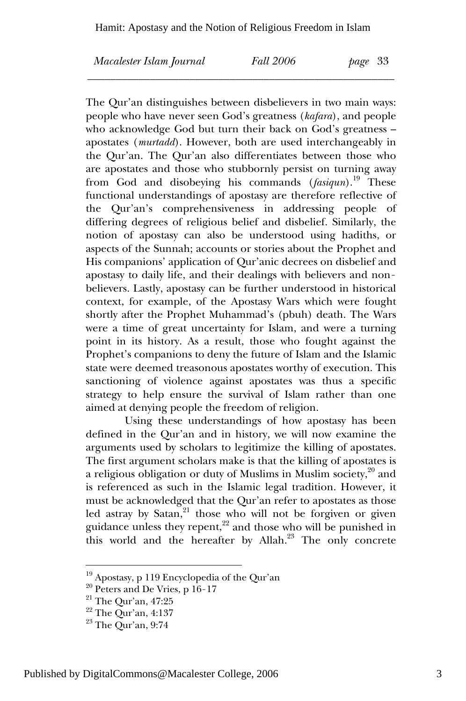\_\_\_\_\_\_\_\_\_\_\_\_\_\_\_\_\_\_\_\_\_\_\_\_\_\_\_\_\_\_\_\_\_\_\_\_\_\_\_\_\_\_\_\_\_\_\_\_\_\_\_\_\_\_

*Macalester Islam Journal Fall 2006 page* 33

The Qur'an distinguishes between disbelievers in two main ways: people who have never seen God's greatness (*kafara*), and people who acknowledge God but turn their back on God's greatness – apostates (*murtadd*). However, both are used interchangeably in the Qur'an. The Qur'an also differentiates between those who are apostates and those who stubbornly persist on turning away from God and disobeying his commands (*fasiqun*).19 These functional understandings of apostasy are therefore reflective of the Qur'an's comprehensiveness in addressing people of differing degrees of religious belief and disbelief. Similarly, the notion of apostasy can also be understood using hadiths, or aspects of the Sunnah; accounts or stories about the Prophet and His companions' application of Qur'anic decrees on disbelief and apostasy to daily life, and their dealings with believers and nonbelievers. Lastly, apostasy can be further understood in historical context, for example, of the Apostasy Wars which were fought shortly after the Prophet Muhammad's (pbuh) death. The Wars were a time of great uncertainty for Islam, and were a turning point in its history. As a result, those who fought against the Prophet's companions to deny the future of Islam and the Islamic state were deemed treasonous apostates worthy of execution. This sanctioning of violence against apostates was thus a specific strategy to help ensure the survival of Islam rather than one aimed at denying people the freedom of religion.

 Using these understandings of how apostasy has been defined in the Qur'an and in history, we will now examine the arguments used by scholars to legitimize the killing of apostates. The first argument scholars make is that the killing of apostates is a religious obligation or duty of Muslims in Muslim society, $2^0$  and is referenced as such in the Islamic legal tradition. However, it must be acknowledged that the Qur'an refer to apostates as those led astray by  $Satan<sub>1</sub><sup>21</sup>$  those who will not be forgiven or given guidance unless they repent,<sup>22</sup> and those who will be punished in this world and the hereafter by Allah.<sup>23</sup> The only concrete

<sup>19</sup> Apostasy, p 119 Encyclopedia of the Qur'an

 $20$  Peters and De Vries, p 16-17

<sup>21</sup> The Qur'an, 47:25

<sup>22</sup> The Qur'an, 4:137

<sup>23</sup> The Qur'an, 9:74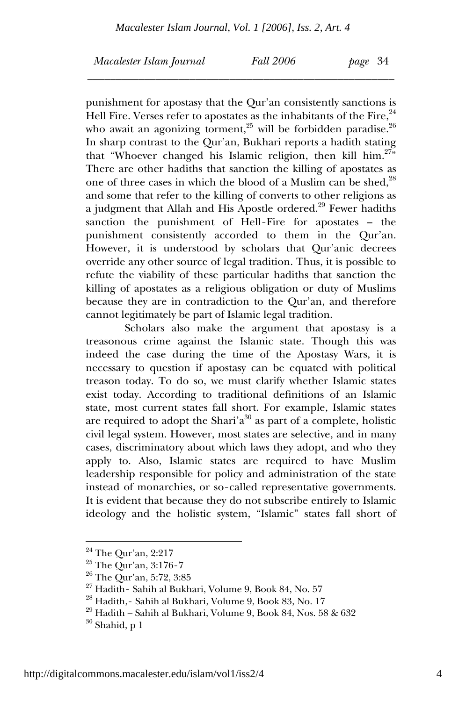\_\_\_\_\_\_\_\_\_\_\_\_\_\_\_\_\_\_\_\_\_\_\_\_\_\_\_\_\_\_\_\_\_\_\_\_\_\_\_\_\_\_\_\_\_\_\_\_\_\_\_\_\_\_

*Macalester Islam Journal Fall 2006 page* 34

punishment for apostasy that the Qur'an consistently sanctions is Hell Fire. Verses refer to apostates as the inhabitants of the Fire,  $24$ who await an agonizing torment,<sup>25</sup> will be forbidden paradise.<sup>26</sup> In sharp contrast to the Qur'an, Bukhari reports a hadith stating that "Whoever changed his Islamic religion, then kill  $\lim_{n \to \infty} 27^n$ " There are other hadiths that sanction the killing of apostates as one of three cases in which the blood of a Muslim can be shed,<sup>28</sup> and some that refer to the killing of converts to other religions as a judgment that Allah and His Apostle ordered.<sup>29</sup> Fewer hadiths sanction the punishment of Hell-Fire for apostates – the punishment consistently accorded to them in the Qur'an. However, it is understood by scholars that Qur'anic decrees override any other source of legal tradition. Thus, it is possible to refute the viability of these particular hadiths that sanction the killing of apostates as a religious obligation or duty of Muslims because they are in contradiction to the Qur'an, and therefore cannot legitimately be part of Islamic legal tradition.

 Scholars also make the argument that apostasy is a treasonous crime against the Islamic state. Though this was indeed the case during the time of the Apostasy Wars, it is necessary to question if apostasy can be equated with political treason today. To do so, we must clarify whether Islamic states exist today. According to traditional definitions of an Islamic state, most current states fall short. For example, Islamic states are required to adopt the Shari' $a^{30}$  as part of a complete, holistic civil legal system. However, most states are selective, and in many cases, discriminatory about which laws they adopt, and who they apply to. Also, Islamic states are required to have Muslim leadership responsible for policy and administration of the state instead of monarchies, or so-called representative governments. It is evident that because they do not subscribe entirely to Islamic ideology and the holistic system, "Islamic" states fall short of

 $24$  The Qur'an, 2:217

<sup>25</sup> The Qur'an, 3:176-7

<sup>26</sup> The Qur'an, 5:72, 3:85

<sup>27</sup> Hadith- Sahih al Bukhari, Volume 9, Book 84, No. 57

 $^\mathrm{28}$  Hadith,<br/>- Sahih al Bukhari, Volume 9, Book 83, No. 17

 $^{29}$  Hadith – Sahih al Bukhari, Volume 9, Book 84, Nos. 58 & 632

 $30$  Shahid, p 1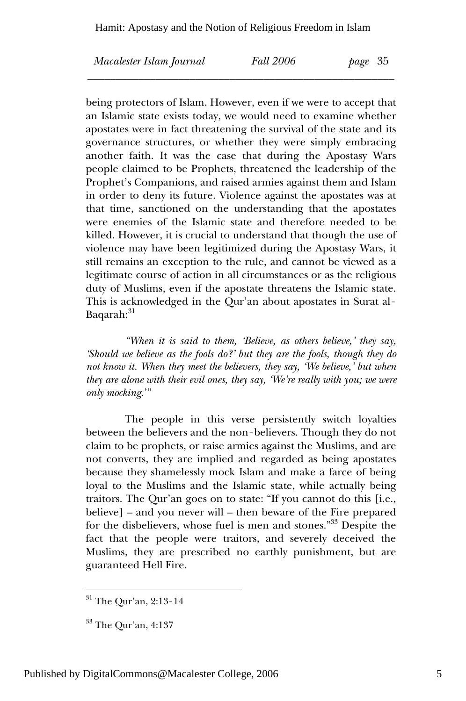| Macalester Islam Journal | Fall 2006 | -35<br>page |
|--------------------------|-----------|-------------|
|                          |           |             |

being protectors of Islam. However, even if we were to accept that an Islamic state exists today, we would need to examine whether apostates were in fact threatening the survival of the state and its governance structures, or whether they were simply embracing another faith. It was the case that during the Apostasy Wars people claimed to be Prophets, threatened the leadership of the Prophet's Companions, and raised armies against them and Islam in order to deny its future. Violence against the apostates was at that time, sanctioned on the understanding that the apostates were enemies of the Islamic state and therefore needed to be killed. However, it is crucial to understand that though the use of violence may have been legitimized during the Apostasy Wars, it still remains an exception to the rule, and cannot be viewed as a legitimate course of action in all circumstances or as the religious duty of Muslims, even if the apostate threatens the Islamic state. This is acknowledged in the Qur'an about apostates in Surat al-Baqarah:<sup>31</sup>

 *"When it is said to them, 'Believe, as others believe,' they say, 'Should we believe as the fools do?' but they are the fools, though they do not know it. When they meet the believers, they say, 'We believe,' but when they are alone with their evil ones, they say, 'We're really with you; we were only mocking.*'"

 The people in this verse persistently switch loyalties between the believers and the non-believers. Though they do not claim to be prophets, or raise armies against the Muslims, and are not converts, they are implied and regarded as being apostates because they shamelessly mock Islam and make a farce of being loyal to the Muslims and the Islamic state, while actually being traitors. The Qur'an goes on to state: "If you cannot do this [i.e., believe] – and you never will – then beware of the Fire prepared for the disbelievers, whose fuel is men and stones."33 Despite the fact that the people were traitors, and severely deceived the Muslims, they are prescribed no earthly punishment, but are guaranteed Hell Fire.

 $31$  The Qur'an, 2:13-14

<sup>33</sup> The Qur'an, 4:137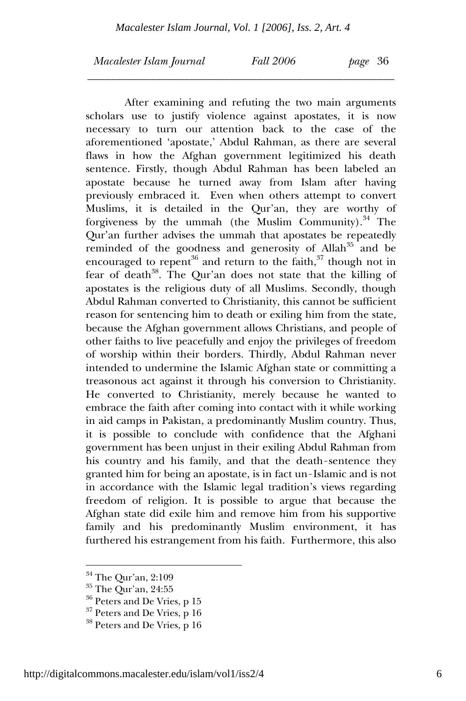\_\_\_\_\_\_\_\_\_\_\_\_\_\_\_\_\_\_\_\_\_\_\_\_\_\_\_\_\_\_\_\_\_\_\_\_\_\_\_\_\_\_\_\_\_\_\_\_\_\_\_\_\_\_

*Macalester Islam Journal Fall 2006 page* 36

 After examining and refuting the two main arguments scholars use to justify violence against apostates, it is now necessary to turn our attention back to the case of the aforementioned 'apostate,' Abdul Rahman, as there are several flaws in how the Afghan government legitimized his death sentence. Firstly, though Abdul Rahman has been labeled an apostate because he turned away from Islam after having previously embraced it. Even when others attempt to convert Muslims, it is detailed in the Qur'an, they are worthy of forgiveness by the ummah (the Muslim Community). $34$  The Qur'an further advises the ummah that apostates be repeatedly reminded of the goodness and generosity of Allah<sup>35</sup> and be encouraged to repent<sup>36</sup> and return to the faith,<sup>37</sup> though not in fear of death<sup>38</sup>. The Qur'an does not state that the killing of apostates is the religious duty of all Muslims. Secondly, though Abdul Rahman converted to Christianity, this cannot be sufficient reason for sentencing him to death or exiling him from the state, because the Afghan government allows Christians, and people of other faiths to live peacefully and enjoy the privileges of freedom of worship within their borders. Thirdly, Abdul Rahman never intended to undermine the Islamic Afghan state or committing a treasonous act against it through his conversion to Christianity. He converted to Christianity, merely because he wanted to embrace the faith after coming into contact with it while working in aid camps in Pakistan, a predominantly Muslim country. Thus, it is possible to conclude with confidence that the Afghani government has been unjust in their exiling Abdul Rahman from his country and his family, and that the death-sentence they granted him for being an apostate, is in fact un-Islamic and is not in accordance with the Islamic legal tradition's views regarding freedom of religion. It is possible to argue that because the Afghan state did exile him and remove him from his supportive family and his predominantly Muslim environment, it has furthered his estrangement from his faith. Furthermore, this also

<sup>34</sup> The Qur'an, 2:109

<sup>35</sup> The Qur'an, 24:55

 $36$  Peters and De Vries, p 15

<sup>&</sup>lt;sup>37</sup> Peters and De Vries, p 16

<sup>38</sup> Peters and De Vries, p 16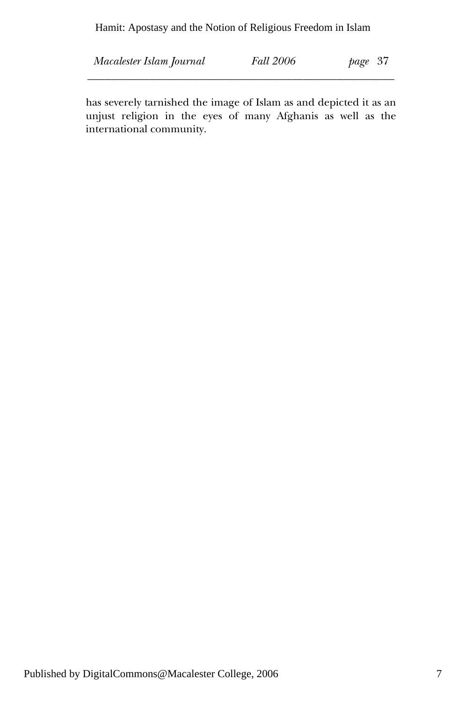Hamit: Apostasy and the Notion of Religious Freedom in Islam

| Macalester Islam Journal | <b>Fall 2006</b> | page 37 |
|--------------------------|------------------|---------|
|                          |                  |         |

has severely tarnished the image of Islam as and depicted it as an unjust religion in the eyes of many Afghanis as well as the international community.